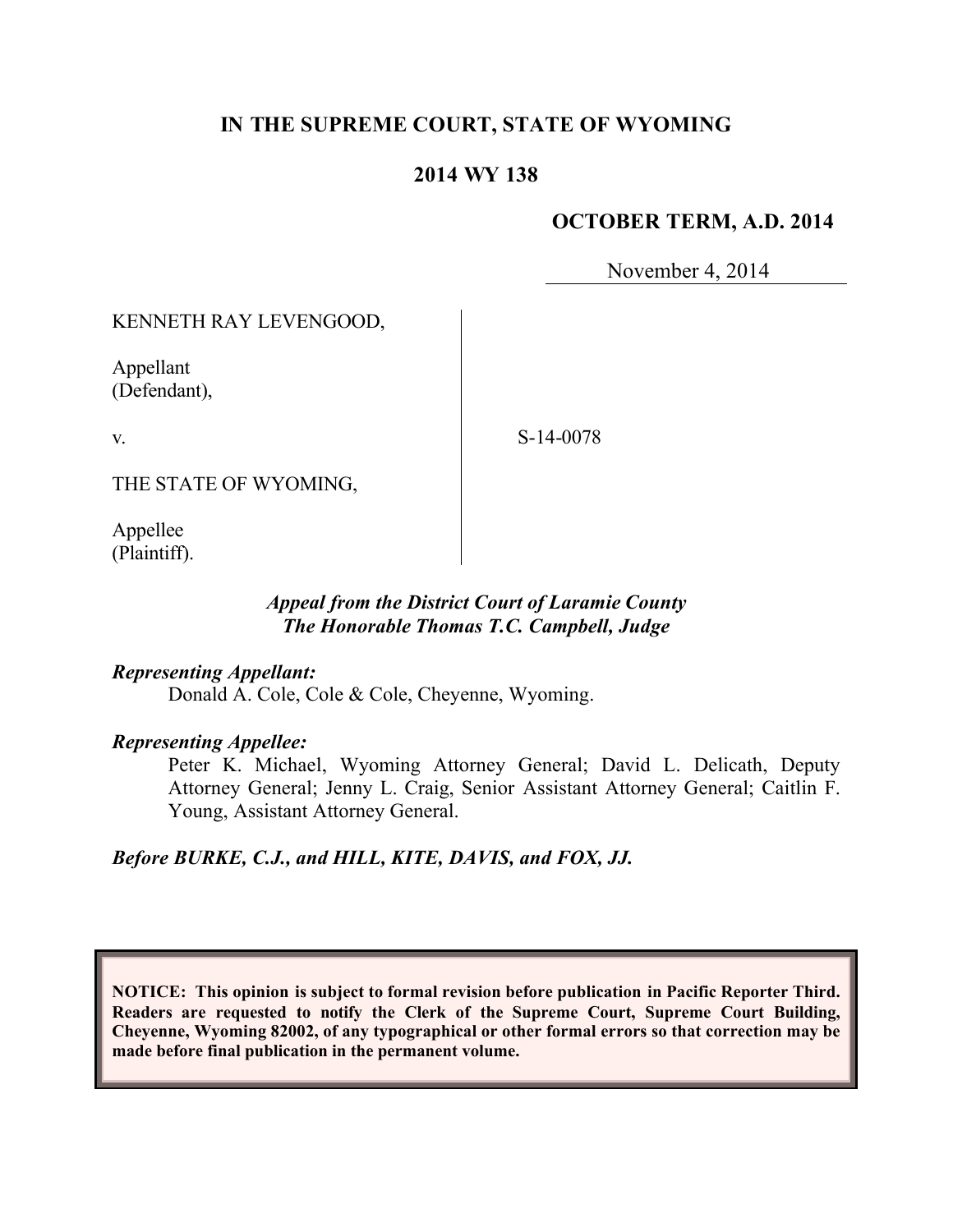# **IN THE SUPREME COURT, STATE OF WYOMING**

# **2014 WY 138**

# **OCTOBER TERM, A.D. 2014**

November 4, 2014

KENNETH RAY LEVENGOOD,

Appellant (Defendant),

v.

S-14-0078

THE STATE OF WYOMING,

Appellee (Plaintiff).

# *Appeal from the District Court of Laramie County The Honorable Thomas T.C. Campbell, Judge*

## *Representing Appellant:*

Donald A. Cole, Cole & Cole, Cheyenne, Wyoming.

## *Representing Appellee:*

Peter K. Michael, Wyoming Attorney General; David L. Delicath, Deputy Attorney General; Jenny L. Craig, Senior Assistant Attorney General; Caitlin F. Young, Assistant Attorney General.

*Before BURKE, C.J., and HILL, KITE, DAVIS, and FOX, JJ.*

**NOTICE: This opinion is subject to formal revision before publication in Pacific Reporter Third. Readers are requested to notify the Clerk of the Supreme Court, Supreme Court Building, Cheyenne, Wyoming 82002, of any typographical or other formal errors so that correction may be made before final publication in the permanent volume.**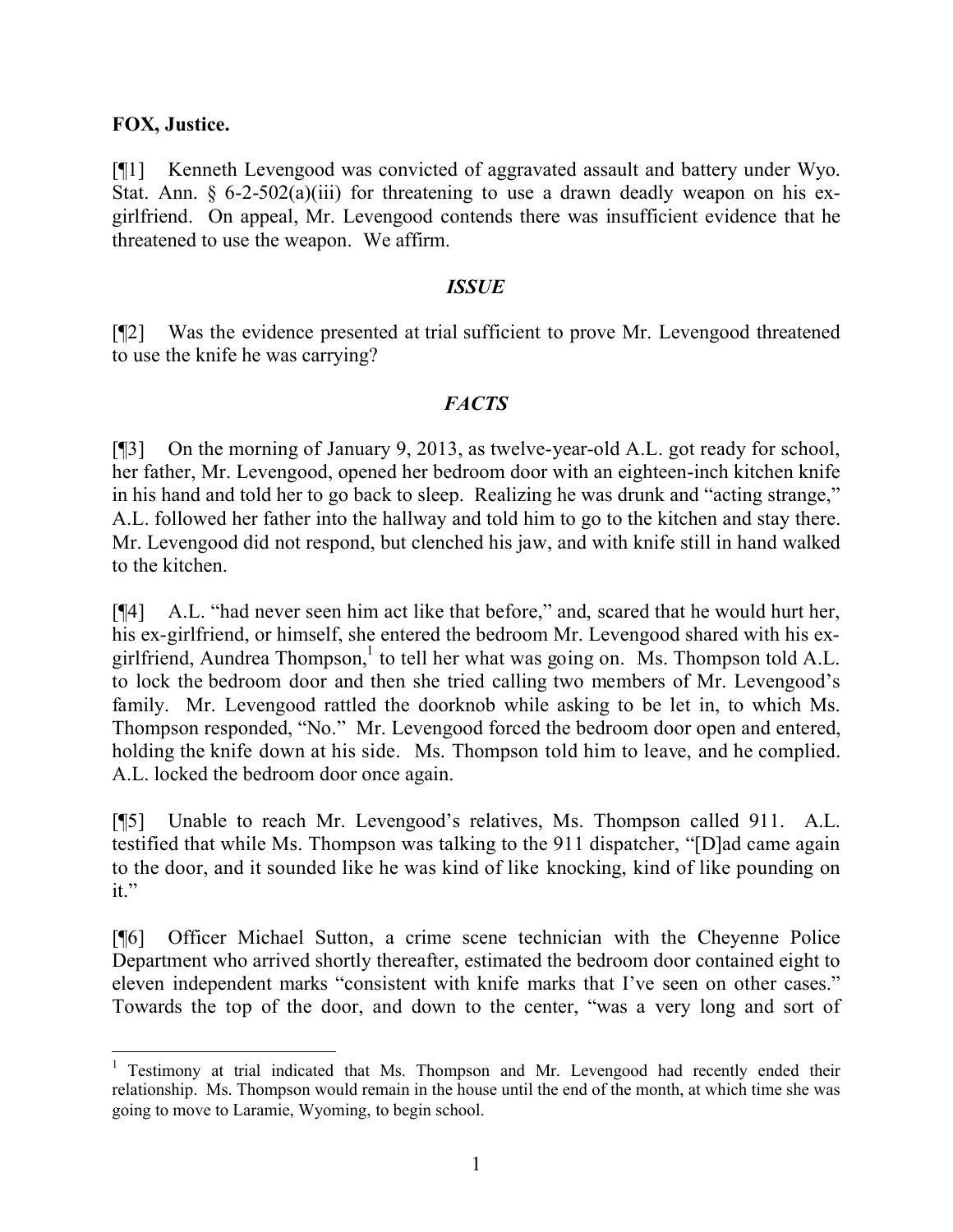# **FOX, Justice.**

[¶1] Kenneth Levengood was convicted of aggravated assault and battery under Wyo. Stat. Ann.  $\S 6$ -2-502(a)(iii) for threatening to use a drawn deadly weapon on his exgirlfriend. On appeal, Mr. Levengood contends there was insufficient evidence that he threatened to use the weapon. We affirm.

#### *ISSUE*

[¶2] Was the evidence presented at trial sufficient to prove Mr. Levengood threatened to use the knife he was carrying?

# *FACTS*

[¶3] On the morning of January 9, 2013, as twelve-year-old A.L. got ready for school, her father, Mr. Levengood, opened her bedroom door with an eighteen-inch kitchen knife in his hand and told her to go back to sleep. Realizing he was drunk and "acting strange," A.L. followed her father into the hallway and told him to go to the kitchen and stay there. Mr. Levengood did not respond, but clenched his jaw, and with knife still in hand walked to the kitchen.

[¶4] A.L. "had never seen him act like that before," and, scared that he would hurt her, his ex-girlfriend, or himself, she entered the bedroom Mr. Levengood shared with his exgirlfriend, Aundrea Thompson, $<sup>1</sup>$  to tell her what was going on. Ms. Thompson told A.L.</sup> to lock the bedroom door and then she tried calling two members of Mr. Levengood's family. Mr. Levengood rattled the doorknob while asking to be let in, to which Ms. Thompson responded, "No." Mr. Levengood forced the bedroom door open and entered, holding the knife down at his side. Ms. Thompson told him to leave, and he complied. A.L. locked the bedroom door once again.

[¶5] Unable to reach Mr. Levengood's relatives, Ms. Thompson called 911. A.L. testified that while Ms. Thompson was talking to the 911 dispatcher, "[D]ad came again to the door, and it sounded like he was kind of like knocking, kind of like pounding on it."

[¶6] Officer Michael Sutton, a crime scene technician with the Cheyenne Police Department who arrived shortly thereafter, estimated the bedroom door contained eight to eleven independent marks "consistent with knife marks that I've seen on other cases." Towards the top of the door, and down to the center, "was a very long and sort of

 <sup>1</sup> Testimony at trial indicated that Ms. Thompson and Mr. Levengood had recently ended their relationship. Ms. Thompson would remain in the house until the end of the month, at which time she was going to move to Laramie, Wyoming, to begin school.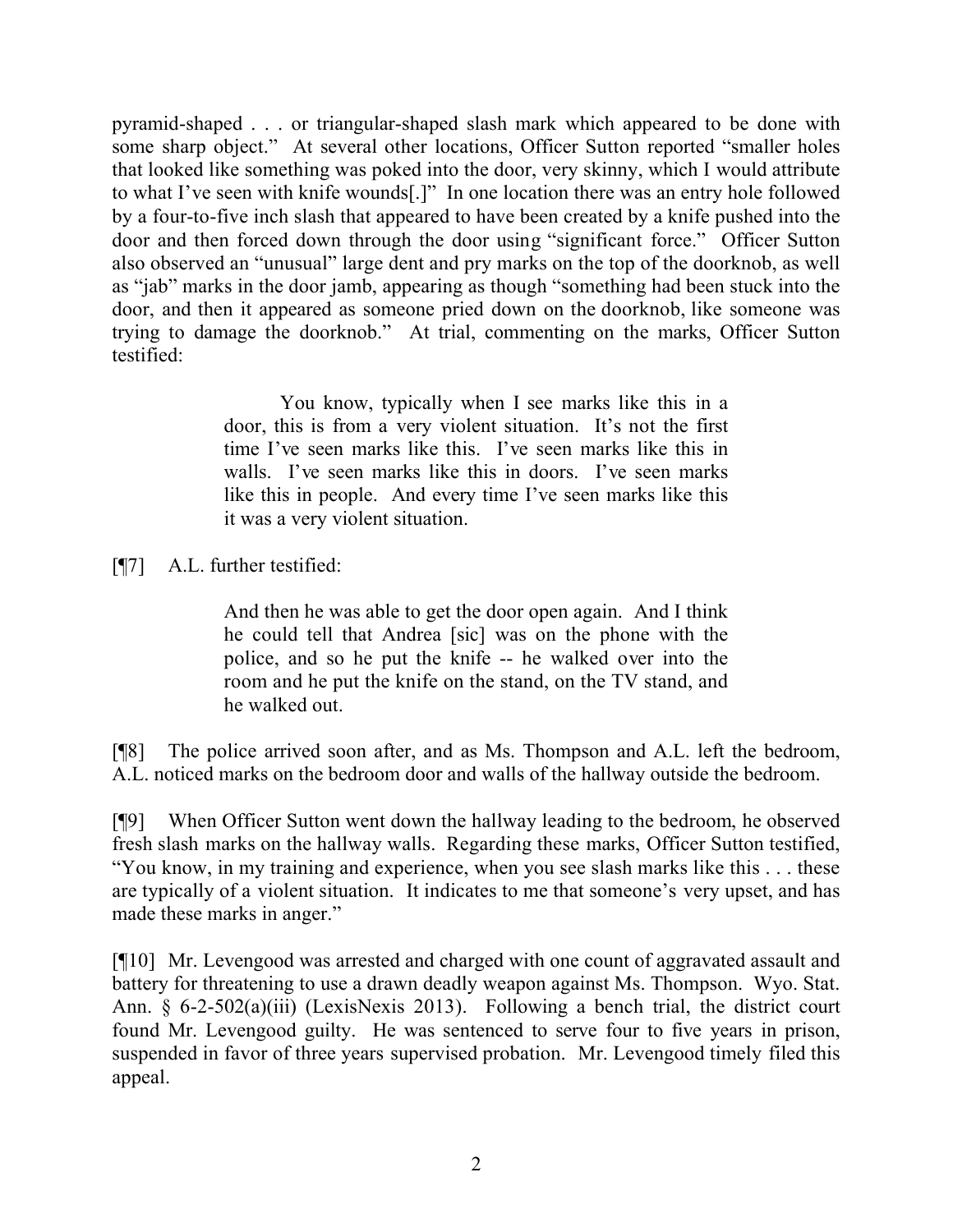pyramid-shaped . . . or triangular-shaped slash mark which appeared to be done with some sharp object." At several other locations, Officer Sutton reported "smaller holes that looked like something was poked into the door, very skinny, which I would attribute to what I've seen with knife wounds[.]" In one location there was an entry hole followed by a four-to-five inch slash that appeared to have been created by a knife pushed into the door and then forced down through the door using "significant force." Officer Sutton also observed an "unusual" large dent and pry marks on the top of the doorknob, as well as "jab" marks in the door jamb, appearing as though "something had been stuck into the door, and then it appeared as someone pried down on the doorknob, like someone was trying to damage the doorknob." At trial, commenting on the marks, Officer Sutton testified:

> You know, typically when I see marks like this in a door, this is from a very violent situation. It's not the first time I've seen marks like this. I've seen marks like this in walls. I've seen marks like this in doors. I've seen marks like this in people. And every time I've seen marks like this it was a very violent situation.

[¶7] A.L. further testified:

And then he was able to get the door open again. And I think he could tell that Andrea [sic] was on the phone with the police, and so he put the knife -- he walked over into the room and he put the knife on the stand, on the TV stand, and he walked out.

[¶8] The police arrived soon after, and as Ms. Thompson and A.L. left the bedroom, A.L. noticed marks on the bedroom door and walls of the hallway outside the bedroom.

[¶9] When Officer Sutton went down the hallway leading to the bedroom, he observed fresh slash marks on the hallway walls. Regarding these marks, Officer Sutton testified, "You know, in my training and experience, when you see slash marks like this . . . these are typically of a violent situation. It indicates to me that someone's very upset, and has made these marks in anger."

[¶10] Mr. Levengood was arrested and charged with one count of aggravated assault and battery for threatening to use a drawn deadly weapon against Ms. Thompson. Wyo. Stat. Ann. § 6-2-502(a)(iii) (LexisNexis 2013). Following a bench trial, the district court found Mr. Levengood guilty. He was sentenced to serve four to five years in prison, suspended in favor of three years supervised probation. Mr. Levengood timely filed this appeal.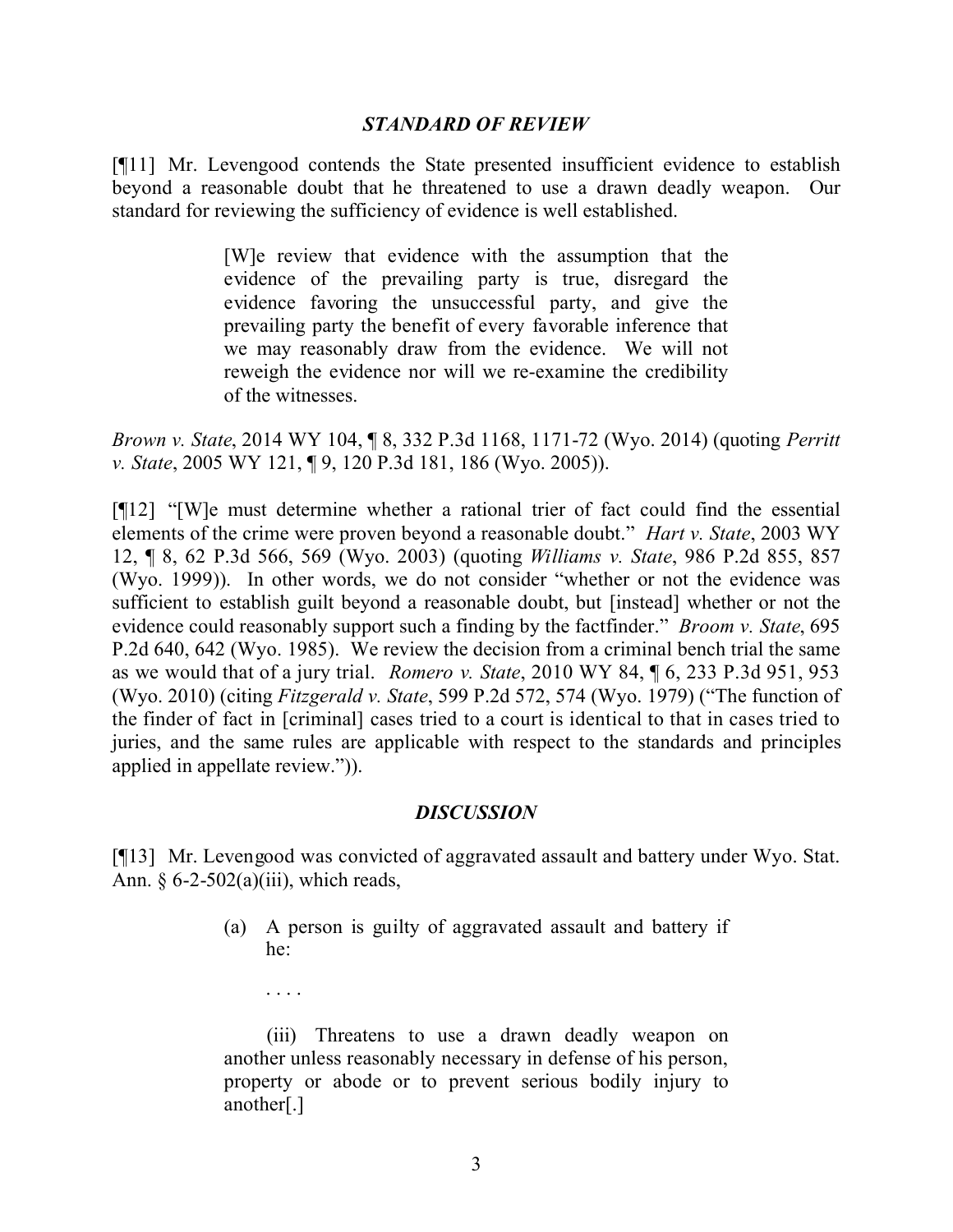#### *STANDARD OF REVIEW*

[¶11] Mr. Levengood contends the State presented insufficient evidence to establish beyond a reasonable doubt that he threatened to use a drawn deadly weapon. Our standard for reviewing the sufficiency of evidence is well established.

> [W]e review that evidence with the assumption that the evidence of the prevailing party is true, disregard the evidence favoring the unsuccessful party, and give the prevailing party the benefit of every favorable inference that we may reasonably draw from the evidence. We will not reweigh the evidence nor will we re-examine the credibility of the witnesses.

*Brown v. State*, 2014 WY 104, ¶ 8, 332 P.3d 1168, 1171-72 (Wyo. 2014) (quoting *Perritt v. State*, 2005 WY 121, ¶ 9, 120 P.3d 181, 186 (Wyo. 2005)).

[¶12] "[W]e must determine whether a rational trier of fact could find the essential elements of the crime were proven beyond a reasonable doubt." *Hart v. State*, 2003 WY 12, ¶ 8, 62 P.3d 566, 569 (Wyo. 2003) (quoting *Williams v. State*, 986 P.2d 855, 857 (Wyo. 1999)). In other words, we do not consider "whether or not the evidence was sufficient to establish guilt beyond a reasonable doubt, but [instead] whether or not the evidence could reasonably support such a finding by the factfinder." *Broom v. State*, 695 P.2d 640, 642 (Wyo. 1985). We review the decision from a criminal bench trial the same as we would that of a jury trial. *Romero v. State*, 2010 WY 84, ¶ 6, 233 P.3d 951, 953 (Wyo. 2010) (citing *Fitzgerald v. State*, 599 P.2d 572, 574 (Wyo. 1979) ("The function of the finder of fact in [criminal] cases tried to a court is identical to that in cases tried to juries, and the same rules are applicable with respect to the standards and principles applied in appellate review.")).

## *DISCUSSION*

[¶13] Mr. Levengood was convicted of aggravated assault and battery under Wyo. Stat. Ann.  $\S 6-2-502(a)(iii)$ , which reads,

> (a) A person is guilty of aggravated assault and battery if he:

. . . .

(iii) Threatens to use a drawn deadly weapon on another unless reasonably necessary in defense of his person, property or abode or to prevent serious bodily injury to another[.]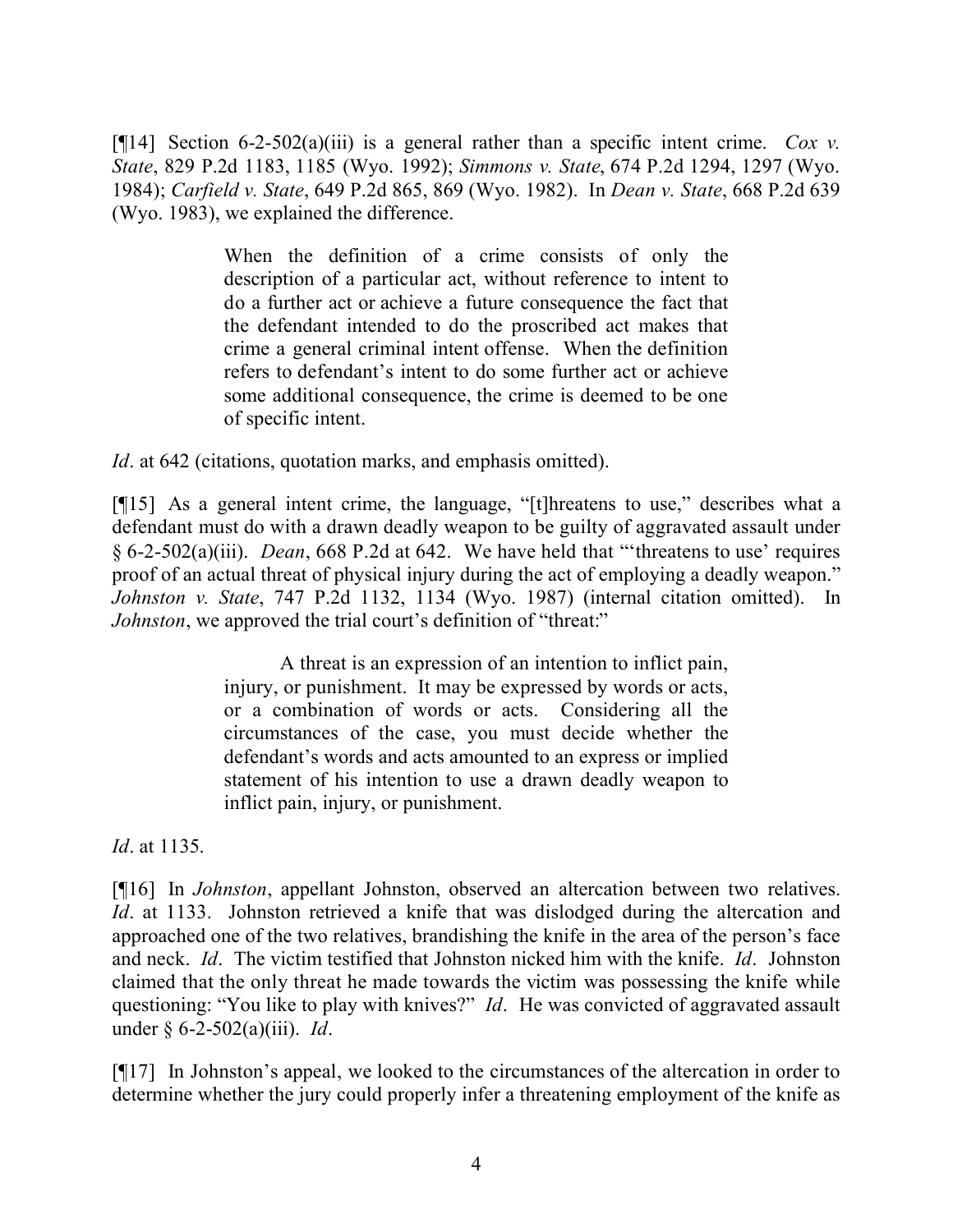[¶14] Section 6-2-502(a)(iii) is a general rather than a specific intent crime. *Cox v. State*, 829 P.2d 1183, 1185 (Wyo. 1992); *Simmons v. State*, 674 P.2d 1294, 1297 (Wyo. 1984); *Carfield v. State*, 649 P.2d 865, 869 (Wyo. 1982). In *Dean v. State*, 668 P.2d 639 (Wyo. 1983), we explained the difference.

> When the definition of a crime consists of only the description of a particular act, without reference to intent to do a further act or achieve a future consequence the fact that the defendant intended to do the proscribed act makes that crime a general criminal intent offense. When the definition refers to defendant's intent to do some further act or achieve some additional consequence, the crime is deemed to be one of specific intent.

*Id*. at 642 (citations, quotation marks, and emphasis omitted).

[¶15] As a general intent crime, the language, "[t]hreatens to use," describes what a defendant must do with a drawn deadly weapon to be guilty of aggravated assault under § 6-2-502(a)(iii). *Dean*, 668 P.2d at 642. We have held that "'threatens to use' requires proof of an actual threat of physical injury during the act of employing a deadly weapon." *Johnston v. State*, 747 P.2d 1132, 1134 (Wyo. 1987) (internal citation omitted). In *Johnston*, we approved the trial court's definition of "threat:"

> A threat is an expression of an intention to inflict pain, injury, or punishment. It may be expressed by words or acts, or a combination of words or acts. Considering all the circumstances of the case, you must decide whether the defendant's words and acts amounted to an express or implied statement of his intention to use a drawn deadly weapon to inflict pain, injury, or punishment.

*Id*. at 1135.

[¶16] In *Johnston*, appellant Johnston, observed an altercation between two relatives. *Id.* at 1133. Johnston retrieved a knife that was dislodged during the altercation and approached one of the two relatives, brandishing the knife in the area of the person's face and neck. *Id*. The victim testified that Johnston nicked him with the knife. *Id*. Johnston claimed that the only threat he made towards the victim was possessing the knife while questioning: "You like to play with knives?" *Id*. He was convicted of aggravated assault under § 6-2-502(a)(iii). *Id*.

[¶17] In Johnston's appeal, we looked to the circumstances of the altercation in order to determine whether the jury could properly infer a threatening employment of the knife as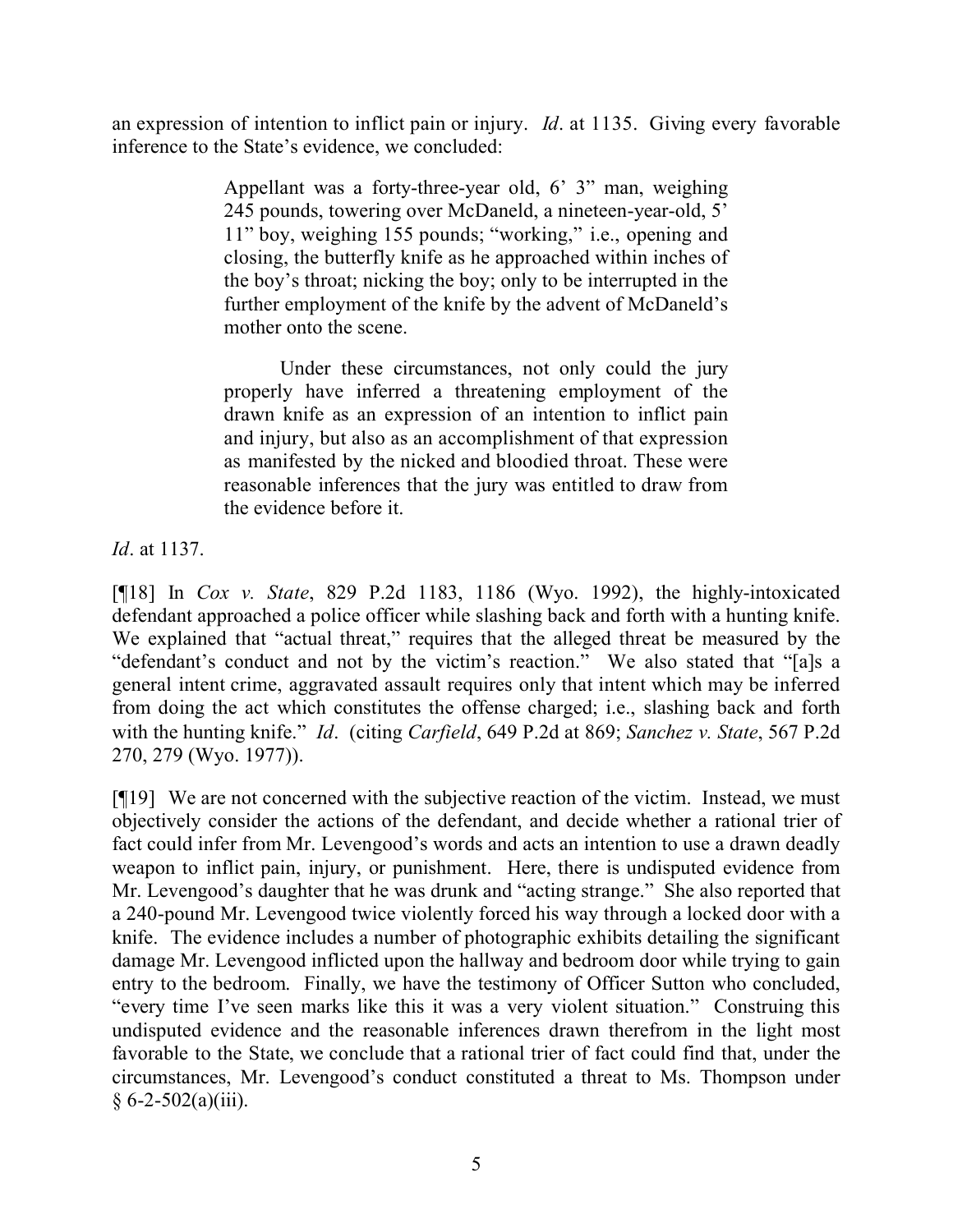an expression of intention to inflict pain or injury. *Id*. at 1135. Giving every favorable inference to the State's evidence, we concluded:

> Appellant was a forty-three-year old, 6' 3" man, weighing 245 pounds, towering over McDaneld, a nineteen-year-old, 5' 11" boy, weighing 155 pounds; "working," i.e., opening and closing, the butterfly knife as he approached within inches of the boy's throat; nicking the boy; only to be interrupted in the further employment of the knife by the advent of McDaneld's mother onto the scene.

> Under these circumstances, not only could the jury properly have inferred a threatening employment of the drawn knife as an expression of an intention to inflict pain and injury, but also as an accomplishment of that expression as manifested by the nicked and bloodied throat. These were reasonable inferences that the jury was entitled to draw from the evidence before it.

*Id*. at 1137.

[¶18] In *Cox v. State*, 829 P.2d 1183, 1186 (Wyo. 1992), the highly-intoxicated defendant approached a police officer while slashing back and forth with a hunting knife. We explained that "actual threat," requires that the alleged threat be measured by the "defendant's conduct and not by the victim's reaction." We also stated that "[a]s a general intent crime, aggravated assault requires only that intent which may be inferred from doing the act which constitutes the offense charged; i.e., slashing back and forth with the hunting knife." *Id*. (citing *Carfield*, 649 P.2d at 869; *Sanchez v. State*, 567 P.2d 270, 279 (Wyo. 1977)).

[¶19] We are not concerned with the subjective reaction of the victim. Instead, we must objectively consider the actions of the defendant, and decide whether a rational trier of fact could infer from Mr. Levengood's words and acts an intention to use a drawn deadly weapon to inflict pain, injury, or punishment. Here, there is undisputed evidence from Mr. Levengood's daughter that he was drunk and "acting strange." She also reported that a 240-pound Mr. Levengood twice violently forced his way through a locked door with a knife. The evidence includes a number of photographic exhibits detailing the significant damage Mr. Levengood inflicted upon the hallway and bedroom door while trying to gain entry to the bedroom. Finally, we have the testimony of Officer Sutton who concluded, "every time I've seen marks like this it was a very violent situation." Construing this undisputed evidence and the reasonable inferences drawn therefrom in the light most favorable to the State, we conclude that a rational trier of fact could find that, under the circumstances, Mr. Levengood's conduct constituted a threat to Ms. Thompson under  $§ 6 - 2 - 502(a)(iii).$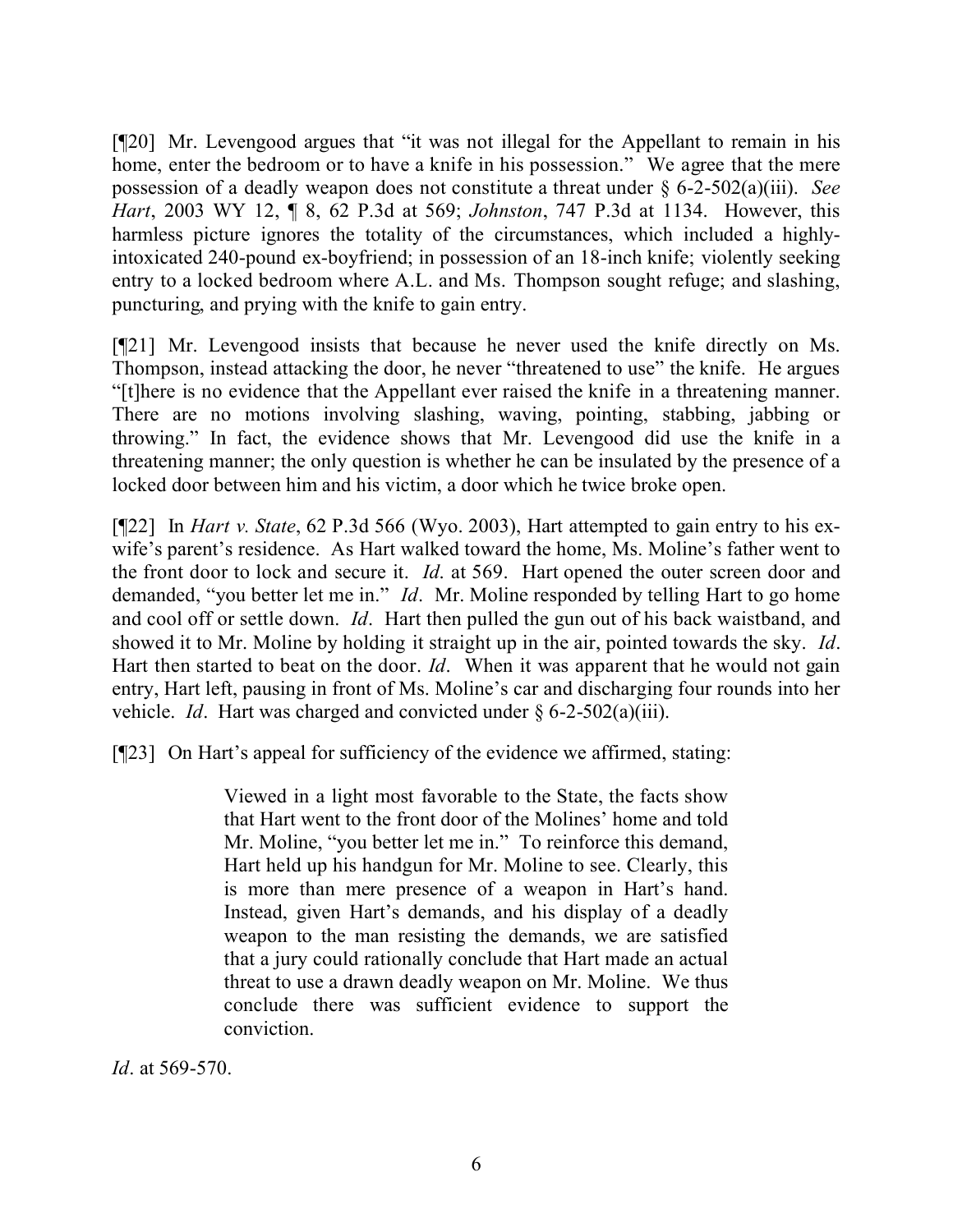[¶20] Mr. Levengood argues that "it was not illegal for the Appellant to remain in his home, enter the bedroom or to have a knife in his possession." We agree that the mere possession of a deadly weapon does not constitute a threat under § 6-2-502(a)(iii). *See Hart*, 2003 WY 12, ¶ 8, 62 P.3d at 569; *Johnston*, 747 P.3d at 1134. However, this harmless picture ignores the totality of the circumstances, which included a highlyintoxicated 240-pound ex-boyfriend; in possession of an 18-inch knife; violently seeking entry to a locked bedroom where A.L. and Ms. Thompson sought refuge; and slashing, puncturing, and prying with the knife to gain entry.

[¶21] Mr. Levengood insists that because he never used the knife directly on Ms. Thompson, instead attacking the door, he never "threatened to use" the knife. He argues "[t]here is no evidence that the Appellant ever raised the knife in a threatening manner. There are no motions involving slashing, waving, pointing, stabbing, jabbing or throwing." In fact, the evidence shows that Mr. Levengood did use the knife in a threatening manner; the only question is whether he can be insulated by the presence of a locked door between him and his victim, a door which he twice broke open.

[¶22] In *Hart v. State*, 62 P.3d 566 (Wyo. 2003), Hart attempted to gain entry to his exwife's parent's residence. As Hart walked toward the home, Ms. Moline's father went to the front door to lock and secure it. *Id*. at 569. Hart opened the outer screen door and demanded, "you better let me in." *Id*. Mr. Moline responded by telling Hart to go home and cool off or settle down. *Id*. Hart then pulled the gun out of his back waistband, and showed it to Mr. Moline by holding it straight up in the air, pointed towards the sky. *Id*. Hart then started to beat on the door. *Id*. When it was apparent that he would not gain entry, Hart left, pausing in front of Ms. Moline's car and discharging four rounds into her vehicle. *Id*. Hart was charged and convicted under § 6-2-502(a)(iii).

[¶23] On Hart's appeal for sufficiency of the evidence we affirmed, stating:

Viewed in a light most favorable to the State, the facts show that Hart went to the front door of the Molines' home and told Mr. Moline, "you better let me in." To reinforce this demand, Hart held up his handgun for Mr. Moline to see. Clearly, this is more than mere presence of a weapon in Hart's hand. Instead, given Hart's demands, and his display of a deadly weapon to the man resisting the demands, we are satisfied that a jury could rationally conclude that Hart made an actual threat to use a drawn deadly weapon on Mr. Moline. We thus conclude there was sufficient evidence to support the conviction.

*Id*. at 569-570.